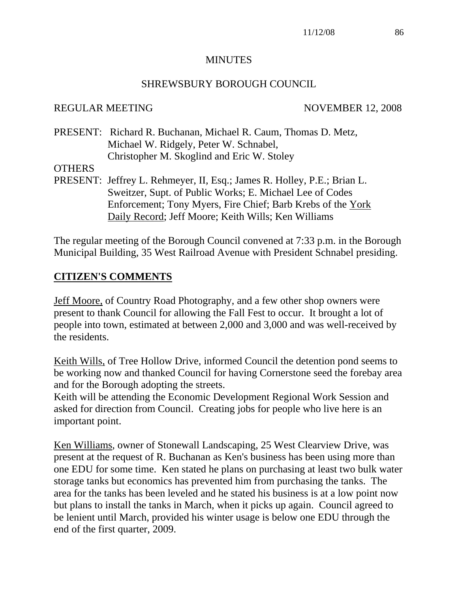#### **MINUTES**

#### SHREWSBURY BOROUGH COUNCIL

#### REGULAR MEETING NOVEMBER 12, 2008

PRESENT: Richard R. Buchanan, Michael R. Caum, Thomas D. Metz, Michael W. Ridgely, Peter W. Schnabel, Christopher M. Skoglind and Eric W. Stoley

#### **OTHERS**

PRESENT: Jeffrey L. Rehmeyer, II, Esq.; James R. Holley, P.E.; Brian L. Sweitzer, Supt. of Public Works; E. Michael Lee of Codes Enforcement; Tony Myers, Fire Chief; Barb Krebs of the York Daily Record; Jeff Moore; Keith Wills; Ken Williams

The regular meeting of the Borough Council convened at 7:33 p.m. in the Borough Municipal Building, 35 West Railroad Avenue with President Schnabel presiding.

## **CITIZEN'S COMMENTS**

Jeff Moore, of Country Road Photography, and a few other shop owners were present to thank Council for allowing the Fall Fest to occur. It brought a lot of people into town, estimated at between 2,000 and 3,000 and was well-received by the residents.

Keith Wills, of Tree Hollow Drive, informed Council the detention pond seems to be working now and thanked Council for having Cornerstone seed the forebay area and for the Borough adopting the streets.

Keith will be attending the Economic Development Regional Work Session and asked for direction from Council. Creating jobs for people who live here is an important point.

Ken Williams, owner of Stonewall Landscaping, 25 West Clearview Drive, was present at the request of R. Buchanan as Ken's business has been using more than one EDU for some time. Ken stated he plans on purchasing at least two bulk water storage tanks but economics has prevented him from purchasing the tanks. The area for the tanks has been leveled and he stated his business is at a low point now but plans to install the tanks in March, when it picks up again. Council agreed to be lenient until March, provided his winter usage is below one EDU through the end of the first quarter, 2009.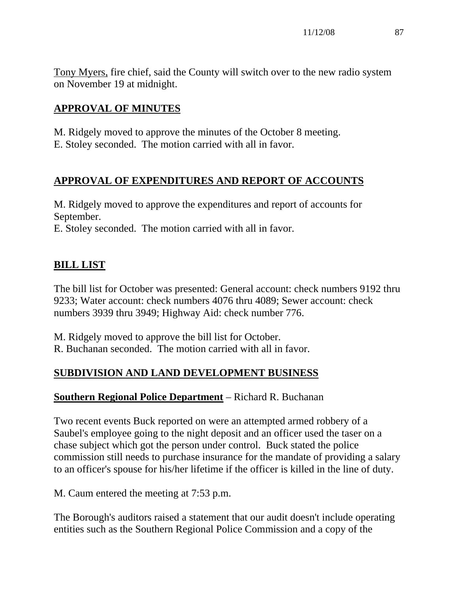Tony Myers, fire chief, said the County will switch over to the new radio system on November 19 at midnight.

# **APPROVAL OF MINUTES**

M. Ridgely moved to approve the minutes of the October 8 meeting. E. Stoley seconded. The motion carried with all in favor.

# **APPROVAL OF EXPENDITURES AND REPORT OF ACCOUNTS**

M. Ridgely moved to approve the expenditures and report of accounts for September.

E. Stoley seconded. The motion carried with all in favor.

# **BILL LIST**

The bill list for October was presented: General account: check numbers 9192 thru 9233; Water account: check numbers 4076 thru 4089; Sewer account: check numbers 3939 thru 3949; Highway Aid: check number 776.

M. Ridgely moved to approve the bill list for October. R. Buchanan seconded. The motion carried with all in favor.

# **SUBDIVISION AND LAND DEVELOPMENT BUSINESS**

## **Southern Regional Police Department** – Richard R. Buchanan

Two recent events Buck reported on were an attempted armed robbery of a Saubel's employee going to the night deposit and an officer used the taser on a chase subject which got the person under control. Buck stated the police commission still needs to purchase insurance for the mandate of providing a salary to an officer's spouse for his/her lifetime if the officer is killed in the line of duty.

M. Caum entered the meeting at 7:53 p.m.

The Borough's auditors raised a statement that our audit doesn't include operating entities such as the Southern Regional Police Commission and a copy of the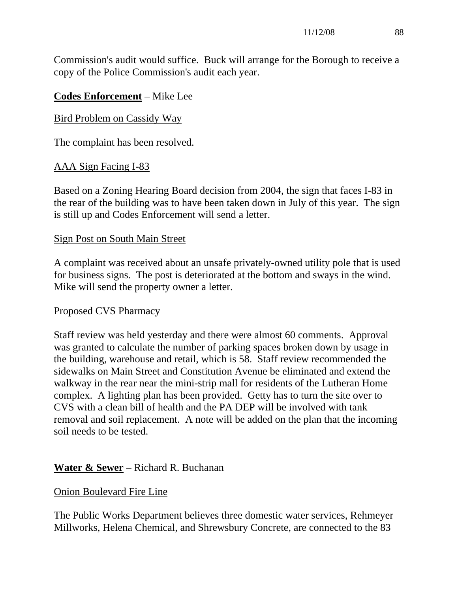Commission's audit would suffice. Buck will arrange for the Borough to receive a copy of the Police Commission's audit each year.

## **Codes Enforcement** – Mike Lee

#### Bird Problem on Cassidy Way

The complaint has been resolved.

## AAA Sign Facing I-83

Based on a Zoning Hearing Board decision from 2004, the sign that faces I-83 in the rear of the building was to have been taken down in July of this year. The sign is still up and Codes Enforcement will send a letter.

#### Sign Post on South Main Street

A complaint was received about an unsafe privately-owned utility pole that is used for business signs. The post is deteriorated at the bottom and sways in the wind. Mike will send the property owner a letter.

#### Proposed CVS Pharmacy

Staff review was held yesterday and there were almost 60 comments. Approval was granted to calculate the number of parking spaces broken down by usage in the building, warehouse and retail, which is 58. Staff review recommended the sidewalks on Main Street and Constitution Avenue be eliminated and extend the walkway in the rear near the mini-strip mall for residents of the Lutheran Home complex. A lighting plan has been provided. Getty has to turn the site over to CVS with a clean bill of health and the PA DEP will be involved with tank removal and soil replacement. A note will be added on the plan that the incoming soil needs to be tested.

## **Water & Sewer** – Richard R. Buchanan

#### Onion Boulevard Fire Line

The Public Works Department believes three domestic water services, Rehmeyer Millworks, Helena Chemical, and Shrewsbury Concrete, are connected to the 83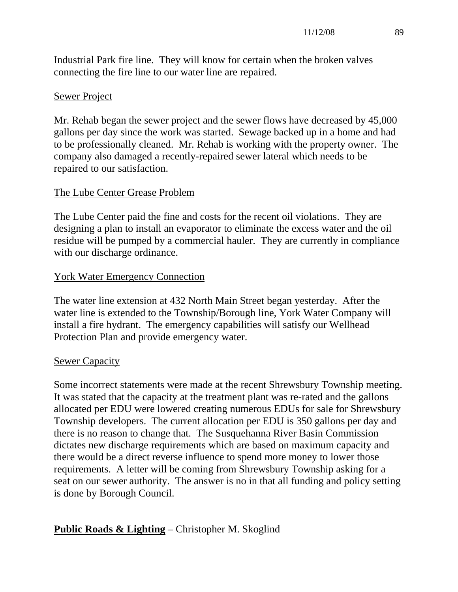Industrial Park fire line. They will know for certain when the broken valves connecting the fire line to our water line are repaired.

#### Sewer Project

Mr. Rehab began the sewer project and the sewer flows have decreased by 45,000 gallons per day since the work was started. Sewage backed up in a home and had to be professionally cleaned. Mr. Rehab is working with the property owner. The company also damaged a recently-repaired sewer lateral which needs to be repaired to our satisfaction.

#### The Lube Center Grease Problem

The Lube Center paid the fine and costs for the recent oil violations. They are designing a plan to install an evaporator to eliminate the excess water and the oil residue will be pumped by a commercial hauler. They are currently in compliance with our discharge ordinance.

#### York Water Emergency Connection

The water line extension at 432 North Main Street began yesterday. After the water line is extended to the Township/Borough line, York Water Company will install a fire hydrant. The emergency capabilities will satisfy our Wellhead Protection Plan and provide emergency water.

#### Sewer Capacity

Some incorrect statements were made at the recent Shrewsbury Township meeting. It was stated that the capacity at the treatment plant was re-rated and the gallons allocated per EDU were lowered creating numerous EDUs for sale for Shrewsbury Township developers. The current allocation per EDU is 350 gallons per day and there is no reason to change that. The Susquehanna River Basin Commission dictates new discharge requirements which are based on maximum capacity and there would be a direct reverse influence to spend more money to lower those requirements. A letter will be coming from Shrewsbury Township asking for a seat on our sewer authority. The answer is no in that all funding and policy setting is done by Borough Council.

## **Public Roads & Lighting** – Christopher M. Skoglind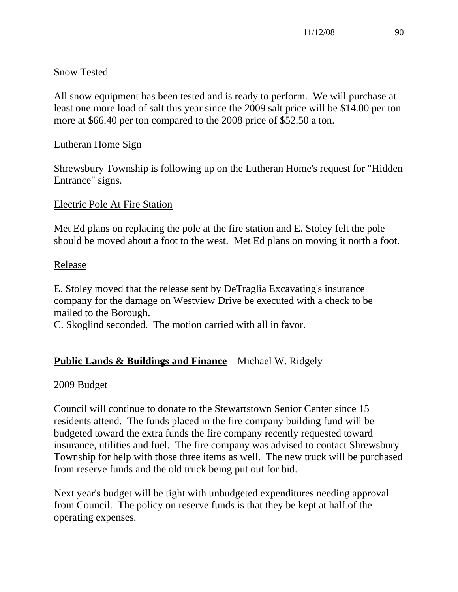## Snow Tested

All snow equipment has been tested and is ready to perform. We will purchase at least one more load of salt this year since the 2009 salt price will be \$14.00 per ton more at \$66.40 per ton compared to the 2008 price of \$52.50 a ton.

## Lutheran Home Sign

Shrewsbury Township is following up on the Lutheran Home's request for "Hidden Entrance" signs.

## Electric Pole At Fire Station

Met Ed plans on replacing the pole at the fire station and E. Stoley felt the pole should be moved about a foot to the west. Met Ed plans on moving it north a foot.

## Release

E. Stoley moved that the release sent by DeTraglia Excavating's insurance company for the damage on Westview Drive be executed with a check to be mailed to the Borough.

C. Skoglind seconded. The motion carried with all in favor.

# **Public Lands & Buildings and Finance** – Michael W. Ridgely

## 2009 Budget

Council will continue to donate to the Stewartstown Senior Center since 15 residents attend. The funds placed in the fire company building fund will be budgeted toward the extra funds the fire company recently requested toward insurance, utilities and fuel. The fire company was advised to contact Shrewsbury Township for help with those three items as well. The new truck will be purchased from reserve funds and the old truck being put out for bid.

Next year's budget will be tight with unbudgeted expenditures needing approval from Council. The policy on reserve funds is that they be kept at half of the operating expenses.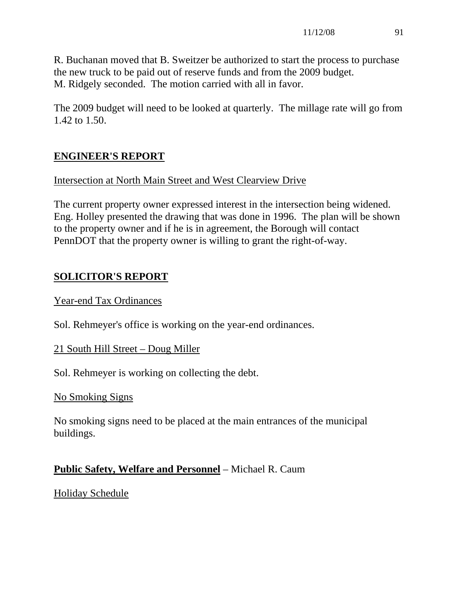R. Buchanan moved that B. Sweitzer be authorized to start the process to purchase the new truck to be paid out of reserve funds and from the 2009 budget. M. Ridgely seconded. The motion carried with all in favor.

The 2009 budget will need to be looked at quarterly. The millage rate will go from 1.42 to 1.50.

# **ENGINEER'S REPORT**

## Intersection at North Main Street and West Clearview Drive

The current property owner expressed interest in the intersection being widened. Eng. Holley presented the drawing that was done in 1996. The plan will be shown to the property owner and if he is in agreement, the Borough will contact PennDOT that the property owner is willing to grant the right-of-way.

# **SOLICITOR'S REPORT**

## Year-end Tax Ordinances

Sol. Rehmeyer's office is working on the year-end ordinances.

## 21 South Hill Street – Doug Miller

Sol. Rehmeyer is working on collecting the debt.

## No Smoking Signs

No smoking signs need to be placed at the main entrances of the municipal buildings.

# **Public Safety, Welfare and Personnel** – Michael R. Caum

# Holiday Schedule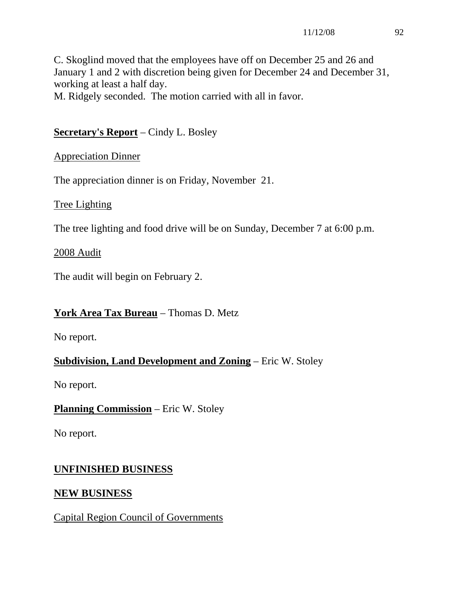C. Skoglind moved that the employees have off on December 25 and 26 and January 1 and 2 with discretion being given for December 24 and December 31, working at least a half day.

M. Ridgely seconded. The motion carried with all in favor.

# **Secretary's Report** – Cindy L. Bosley

# Appreciation Dinner

The appreciation dinner is on Friday, November 21.

# Tree Lighting

The tree lighting and food drive will be on Sunday, December 7 at 6:00 p.m.

## 2008 Audit

The audit will begin on February 2.

# **York Area Tax Bureau** – Thomas D. Metz

No report.

# **Subdivision, Land Development and Zoning** – Eric W. Stoley

No report.

# **Planning Commission** – Eric W. Stoley

No report.

# **UNFINISHED BUSINESS**

# **NEW BUSINESS**

# Capital Region Council of Governments